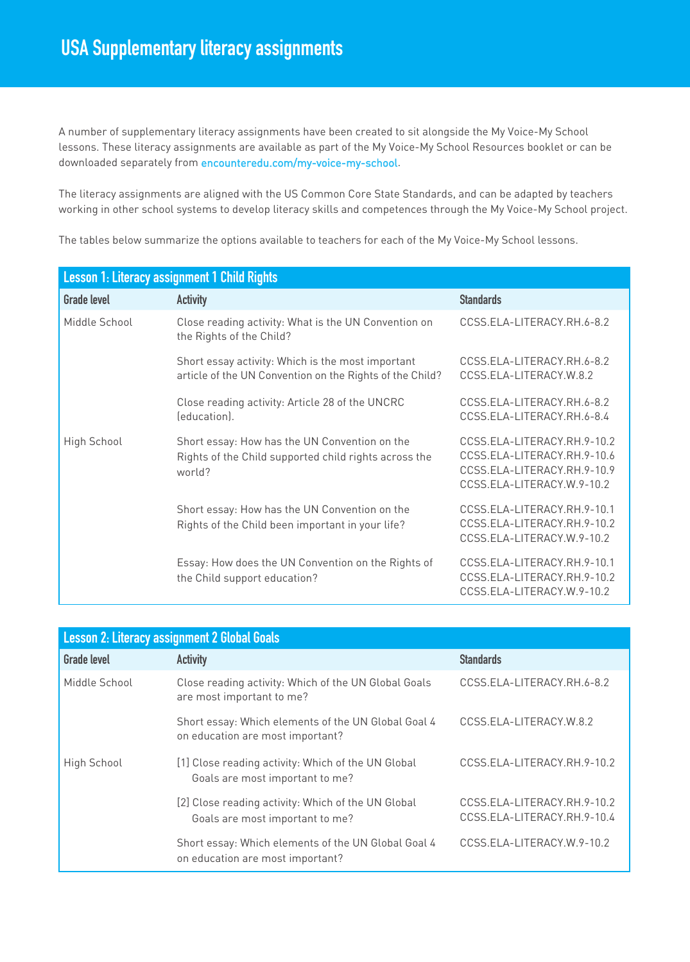A number of supplementary literacy assignments have been created to sit alongside the My Voice-My School lessons. These literacy assignments are available as part of the My Voice-My School Resources booklet or can be downloaded separately from encounteredu.com/my-voice-my-school.

The literacy assignments are aligned with the US Common Core State Standards, and can be adapted by teachers working in other school systems to develop literacy skills and competences through the My Voice-My School project.

The tables below summarize the options available to teachers for each of the My Voice-My School lessons.

| <b>Lesson 1: Literacy assignment 1 Child Rights</b> |                                                                                                                  |                                                                                                                         |  |
|-----------------------------------------------------|------------------------------------------------------------------------------------------------------------------|-------------------------------------------------------------------------------------------------------------------------|--|
| <b>Grade level</b>                                  | <b>Activity</b>                                                                                                  | <b>Standards</b>                                                                                                        |  |
| Middle School                                       | Close reading activity: What is the UN Convention on<br>the Rights of the Child?                                 | CCSS.ELA-LITERACY.RH.6-8.2                                                                                              |  |
|                                                     | Short essay activity: Which is the most important<br>article of the UN Convention on the Rights of the Child?    | CCSS.ELA-LITERACY.RH.6-8.2<br>CCSS.ELA-LITERACY.W.8.2                                                                   |  |
|                                                     | Close reading activity: Article 28 of the UNCRC<br>(education).                                                  | CCSS.ELA-LITERACY.RH.6-8.2<br>CCSS.ELA-LITERACY.RH.6-8.4                                                                |  |
| High School                                         | Short essay: How has the UN Convention on the<br>Rights of the Child supported child rights across the<br>world? | CCSS.ELA-LITERACY.RH.9-10.2<br>CCSS.ELA-LITERACY.RH.9-10.6<br>CCSS.ELA-LITERACY.RH.9-10.9<br>CCSS.ELA-LITERACY.W.9-10.2 |  |
|                                                     | Short essay: How has the UN Convention on the<br>Rights of the Child been important in your life?                | CCSS.ELA-LITERACY.RH.9-10.1<br>CCSS.ELA-LITERACY.RH.9-10.2<br>CCSS.ELA-LITERACY.W.9-10.2                                |  |
|                                                     | Essay: How does the UN Convention on the Rights of<br>the Child support education?                               | CCSS.ELA-LITERACY.RH.9-10.1<br>CCSS.ELA-LITERACY.RH.9-10.2<br>CCSS.ELA-LITERACY.W.9-10.2                                |  |

| <b>Lesson 2: Literacy assignment 2 Global Goals</b> |                                                                                         |                                                            |  |
|-----------------------------------------------------|-----------------------------------------------------------------------------------------|------------------------------------------------------------|--|
| <b>Grade level</b>                                  | <b>Activity</b>                                                                         | <b>Standards</b>                                           |  |
| Middle School                                       | Close reading activity: Which of the UN Global Goals<br>are most important to me?       | CCSS.ELA-LITERACY.RH.6-8.2                                 |  |
|                                                     | Short essay: Which elements of the UN Global Goal 4<br>on education are most important? | CCSS.ELA-LITERACY.W.8.2                                    |  |
| High School                                         | [1] Close reading activity: Which of the UN Global<br>Goals are most important to me?   | CCSS.ELA-LITERACY.RH.9-10.2                                |  |
|                                                     | [2] Close reading activity: Which of the UN Global<br>Goals are most important to me?   | CCSS.ELA-LITERACY.RH.9-10.2<br>CCSS.ELA-LITERACY.RH.9-10.4 |  |
|                                                     | Short essay: Which elements of the UN Global Goal 4<br>on education are most important? | CCSS.ELA-LITERACY.W.9-10.2                                 |  |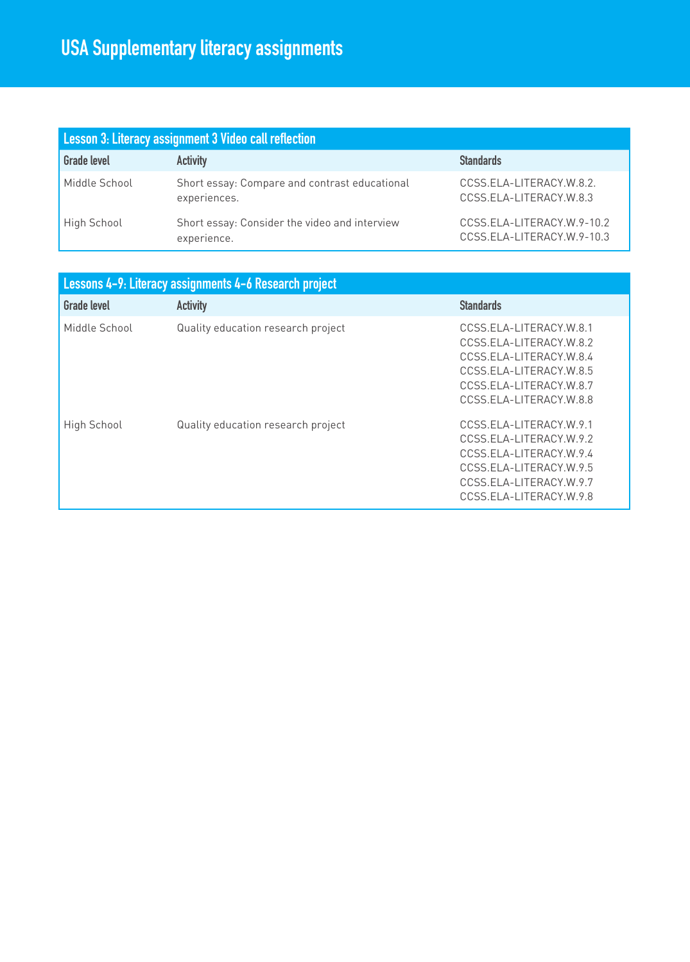| Lesson 3: Literacy assignment 3 Video call reflection |                                                               |                                                          |  |
|-------------------------------------------------------|---------------------------------------------------------------|----------------------------------------------------------|--|
| <b>Grade level</b>                                    | <b>Activity</b>                                               | <b>Standards</b>                                         |  |
| Middle School                                         | Short essay: Compare and contrast educational<br>experiences. | CCSS.ELA-LITERACY.W.8.2.<br>CCSS.ELA-LITERACY.W.8.3      |  |
| High School                                           | Short essay: Consider the video and interview<br>experience.  | CCSS.ELA-LITERACY.W.9-10.2<br>CCSS.ELA-LITERACY.W.9-10.3 |  |

| Lessons 4-9: Literacy assignments 4-6 Research project |                                    |                                                                                                                                                                |  |
|--------------------------------------------------------|------------------------------------|----------------------------------------------------------------------------------------------------------------------------------------------------------------|--|
| <b>Grade level</b>                                     | <b>Activity</b>                    | <b>Standards</b>                                                                                                                                               |  |
| Middle School                                          | Quality education research project | CCSS.ELA-LITERACY.W.8.1<br>CCSS.ELA-LITERACY.W.8.2<br>CCSS.ELA-LITERACY.W.8.4<br>CCSS.ELA-LITERACY.W.8.5<br>CCSS.ELA-LITERACY.W.8.7<br>CCSS.ELA-LITERACY.W.8.8 |  |
| High School                                            | Quality education research project | CCSS.ELA-LITERACY.W.9.1<br>CCSS.ELA-LITERACY.W.9.2<br>CCSS.ELA-LITERACY.W.9.4<br>CCSS.ELA-LITERACY.W.9.5<br>CCSS.ELA-LITERACY.W.9.7<br>CCSS.ELA-LITERACY.W.9.8 |  |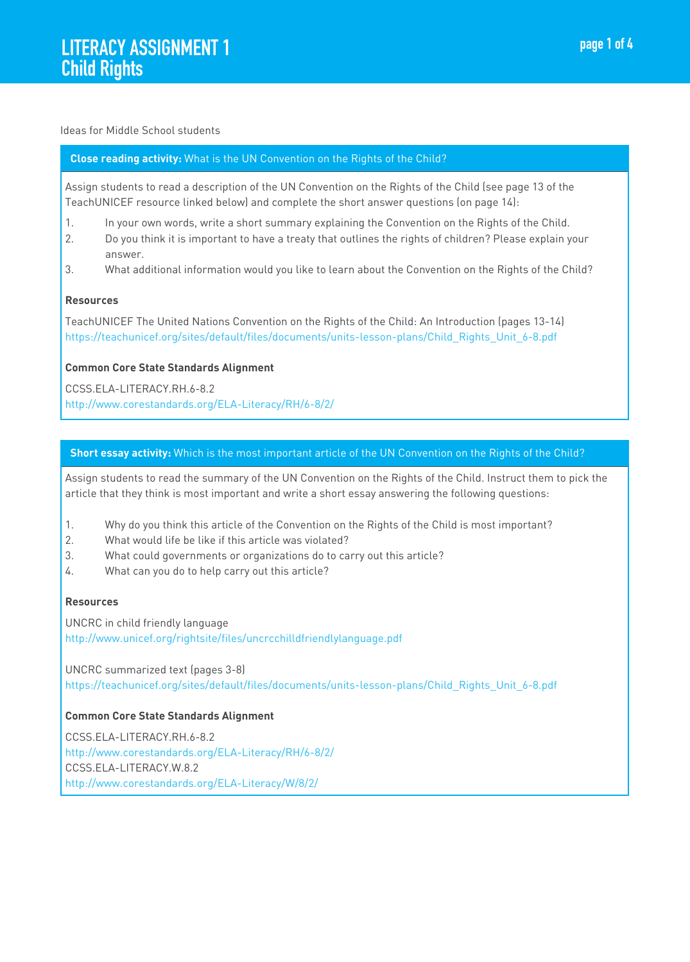#### Ideas for Middle School students

#### **Close reading activity:** What is the UN Convention on the Rights of the Child?

Assign students to read a description of the UN Convention on the Rights of the Child (see page 13 of the TeachUNICEF resource linked below) and complete the short answer questions (on page 14):

- 1. In your own words, write a short summary explaining the Convention on the Rights of the Child.
- 2. Do you think it is important to have a treaty that outlines the rights of children? Please explain your answer.
- 3. What additional information would you like to learn about the Convention on the Rights of the Child?

#### **Resources**

TeachUNICEF The United Nations Convention on the Rights of the Child: An Introduction (pages 13-14) https://teachunicef.org/sites/default/files/documents/units-lesson-plans/Child\_Rights\_Unit\_6-8.pdf

#### **Common Core State Standards Alignment**

CCSS.ELA-LITERACY.RH.6-8.2 http://www.corestandards.org/ELA-Literacy/RH/6-8/2/

## **Short essay activity:** Which is the most important article of the UN Convention on the Rights of the Child?

Assign students to read the summary of the UN Convention on the Rights of the Child. Instruct them to pick the article that they think is most important and write a short essay answering the following questions:

- 1. Why do you think this article of the Convention on the Rights of the Child is most important?
- 2. What would life be like if this article was violated?
- 3. What could governments or organizations do to carry out this article?
- 4. What can you do to help carry out this article?

#### **Resources**

UNCRC in child friendly language http://www.unicef.org/rightsite/files/uncrcchilldfriendlylanguage.pdf

UNCRC summarized text (pages 3-8) https://teachunicef.org/sites/default/files/documents/units-lesson-plans/Child\_Rights\_Unit\_6-8.pdf

#### **Common Core State Standards Alignment**

CCSS.ELA-LITERACY.RH.6-8.2 http://www.corestandards.org/ELA-Literacy/RH/6-8/2/ CCSS.ELA-LITERACY.W.8.2 http://www.corestandards.org/ELA-Literacy/W/8/2/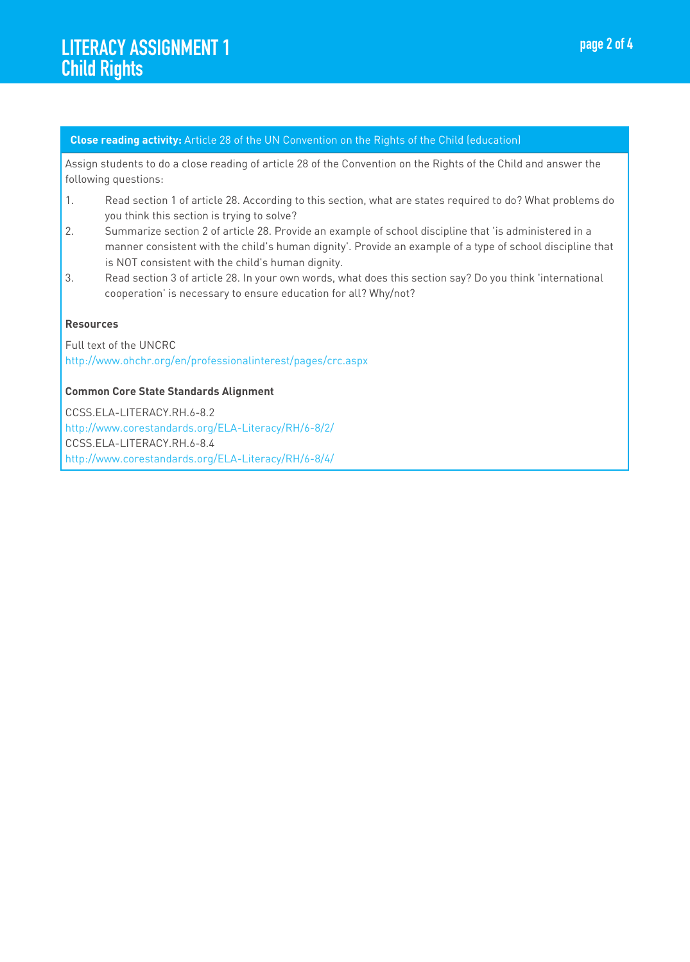#### **Close reading activity:** Article 28 of the UN Convention on the Rights of the Child (education)

Assign students to do a close reading of article 28 of the Convention on the Rights of the Child and answer the following questions:

- 1. Read section 1 of article 28. According to this section, what are states required to do? What problems do you think this section is trying to solve?
- 2. Summarize section 2 of article 28. Provide an example of school discipline that 'is administered in a manner consistent with the child's human dignity'. Provide an example of a type of school discipline that is NOT consistent with the child's human dignity.
- 3. Read section 3 of article 28. In your own words, what does this section say? Do you think 'international cooperation' is necessary to ensure education for all? Why/not?

#### **Resources**

Full text of the UNCRC http://www.ohchr.org/en/professionalinterest/pages/crc.aspx

#### **Common Core State Standards Alignment**

CCSS.ELA-LITERACY.RH.6-8.2 http://www.corestandards.org/ELA-Literacy/RH/6-8/2/ CCSS.ELA-LITERACY.RH.6-8.4 http://www.corestandards.org/ELA-Literacy/RH/6-8/4/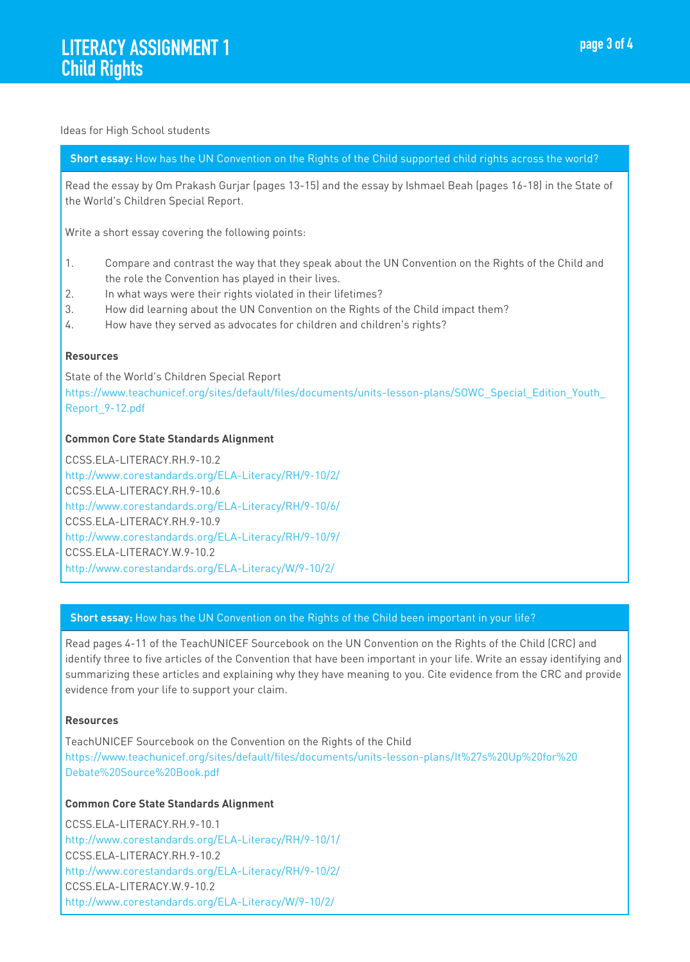#### Ideas for High School students

# **Short essay:** How has the UN Convention on the Rights of the Child supported child rights across the world?

Read the essay by Om Prakash Gurjar (pages 13-15) and the essay by Ishmael Beah (pages 16-18) in the State of the World's Children Special Report.

Write a short essay covering the following points:

- 1. Compare and contrast the way that they speak about the UN Convention on the Rights of the Child and the role the Convention has played in their lives.
- 2. In what ways were their rights violated in their lifetimes?
- 3. How did learning about the UN Convention on the Rights of the Child impact them?
- 4. How have they served as advocates for children and children's rights?

#### **Resources**

State of the World's Children Special Report https://www.teachunicef.org/sites/default/files/documents/units-lesson-plans/SOWC\_Special\_Edition\_Youth\_ Report\_9-12.pdf

#### **Common Core State Standards Alignment**

CCSS.ELA-LITERACY.RH.9-10.2 http://www.corestandards.org/ELA-Literacy/RH/9-10/2/ CCSS.ELA-LITERACY.RH.9-10.6 http://www.corestandards.org/ELA-Literacy/RH/9-10/6/ CCSS.ELA-LITERACY.RH.9-10.9 http://www.corestandards.org/ELA-Literacy/RH/9-10/9/ CCSS.ELA-LITERACY.W.9-10.2 http://www.corestandards.org/ELA-Literacy/W/9-10/2/

#### **Short essay:** How has the UN Convention on the Rights of the Child been important in your life?

Read pages 4-11 of the TeachUNICEF Sourcebook on the UN Convention on the Rights of the Child (CRC) and identify three to five articles of the Convention that have been important in your life. Write an essay identifying and summarizing these articles and explaining why they have meaning to you. Cite evidence from the CRC and provide evidence from your life to support your claim.

#### **Resources**

TeachUNICEF Sourcebook on the Convention on the Rights of the Child https://www.teachunicef.org/sites/default/files/documents/units-lesson-plans/It%27s%20Up%20for%20 Debate%20Source%20Book.pdf

#### **Common Core State Standards Alignment**

CCSS.ELA-LITERACY.RH.9-10.1 http://www.corestandards.org/ELA-Literacy/RH/9-10/1/ CCSS.ELA-LITERACY.RH.9-10.2 http://www.corestandards.org/ELA-Literacy/RH/9-10/2/ CCSS.ELA-LITERACY.W.9-10.2 http://www.corestandards.org/ELA-Literacy/W/9-10/2/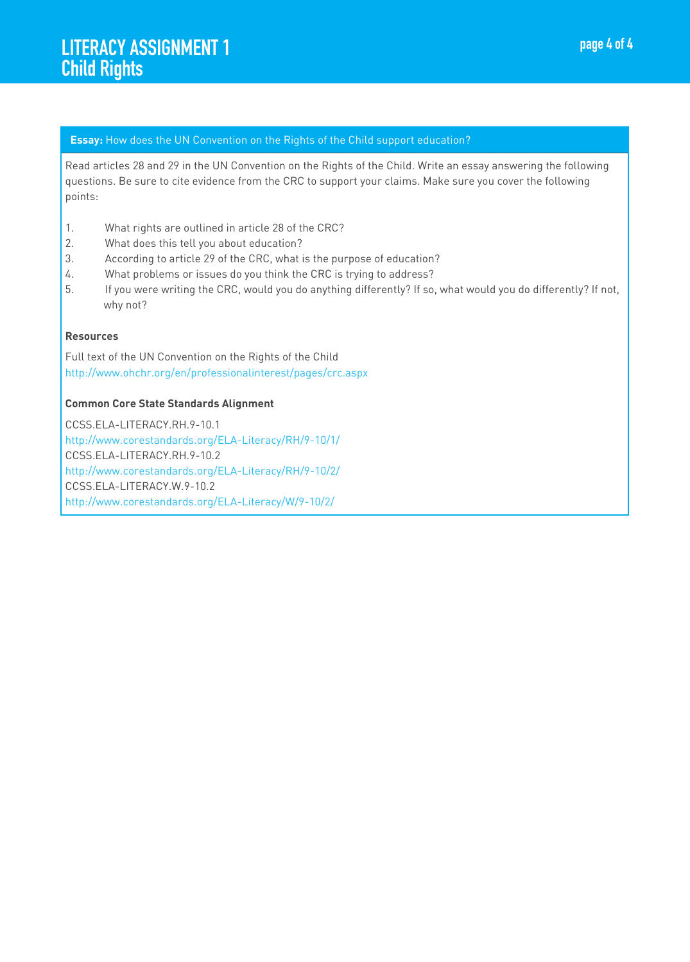#### **Essay:** How does the UN Convention on the Rights of the Child support education?

Read articles 28 and 29 in the UN Convention on the Rights of the Child. Write an essay answering the following questions. Be sure to cite evidence from the CRC to support your claims. Make sure you cover the following points:

- 1. What rights are outlined in article 28 of the CRC?
- 2. What does this tell you about education?
- 3. According to article 29 of the CRC, what is the purpose of education?
- 4. What problems or issues do you think the CRC is trying to address?
- 5. If you were writing the CRC, would you do anything differently? If so, what would you do differently? If not, why not?

#### **Resources**

Full text of the UN Convention on the Rights of the Child http://www.ohchr.org/en/professionalinterest/pages/crc.aspx

#### **Common Core State Standards Alignment**

CCSS.ELA-LITERACY.RH.9-10.1 http://www.corestandards.org/ELA-Literacy/RH/9-10/1/ CCSS.ELA-LITERACY.RH.9-10.2 http://www.corestandards.org/ELA-Literacy/RH/9-10/2/ CCSS.ELA-LITERACY.W.9-10.2 http://www.corestandards.org/ELA-Literacy/W/9-10/2/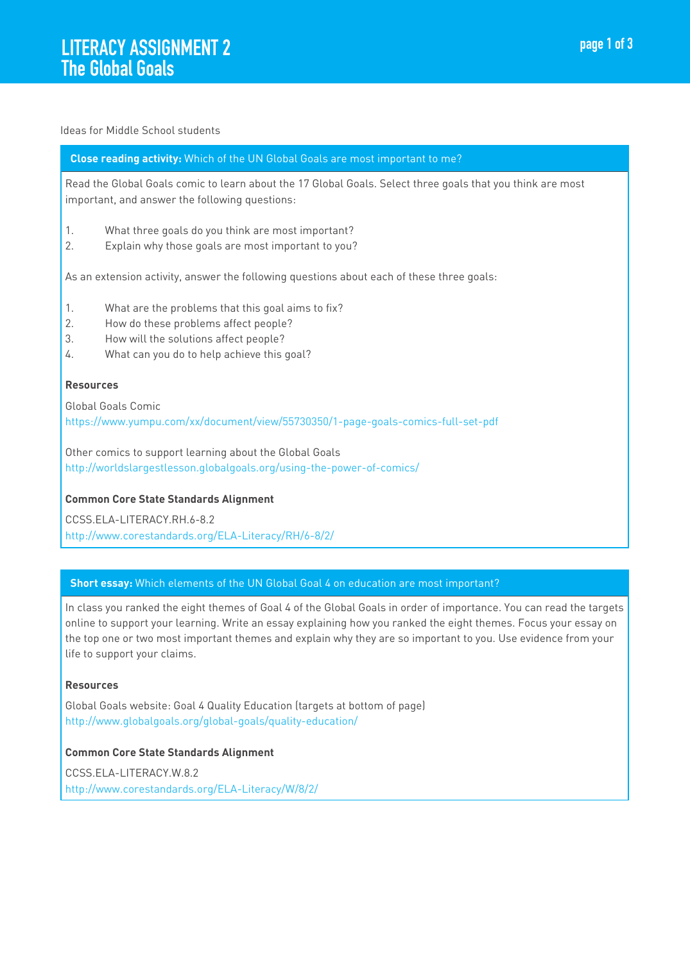#### Ideas for Middle School students

#### **Close reading activity:** Which of the UN Global Goals are most important to me?

Read the Global Goals comic to learn about the 17 Global Goals. Select three goals that you think are most important, and answer the following questions:

- 1. What three goals do you think are most important?
- 2. Explain why those goals are most important to you?

As an extension activity, answer the following questions about each of these three goals:

- 1. What are the problems that this goal aims to fix?
- 2. How do these problems affect people?
- 3. How will the solutions affect people?
- 4. What can you do to help achieve this goal?

#### **Resources**

Global Goals Comic https://www.yumpu.com/xx/document/view/55730350/1-page-goals-comics-full-set-pdf

Other comics to support learning about the Global Goals http://worldslargestlesson.globalgoals.org/using-the-power-of-comics/

#### **Common Core State Standards Alignment**

CCSS.ELA-LITERACY.RH.6-8.2 http://www.corestandards.org/ELA-Literacy/RH/6-8/2/

#### **Short essay:** Which elements of the UN Global Goal 4 on education are most important?

In class you ranked the eight themes of Goal 4 of the Global Goals in order of importance. You can read the targets online to support your learning. Write an essay explaining how you ranked the eight themes. Focus your essay on the top one or two most important themes and explain why they are so important to you. Use evidence from your life to support your claims.

#### **Resources**

Global Goals website: Goal 4 Quality Education (targets at bottom of page) http://www.globalgoals.org/global-goals/quality-education/

#### **Common Core State Standards Alignment**

CCSS.ELA-LITERACY.W.8.2 http://www.corestandards.org/ELA-Literacy/W/8/2/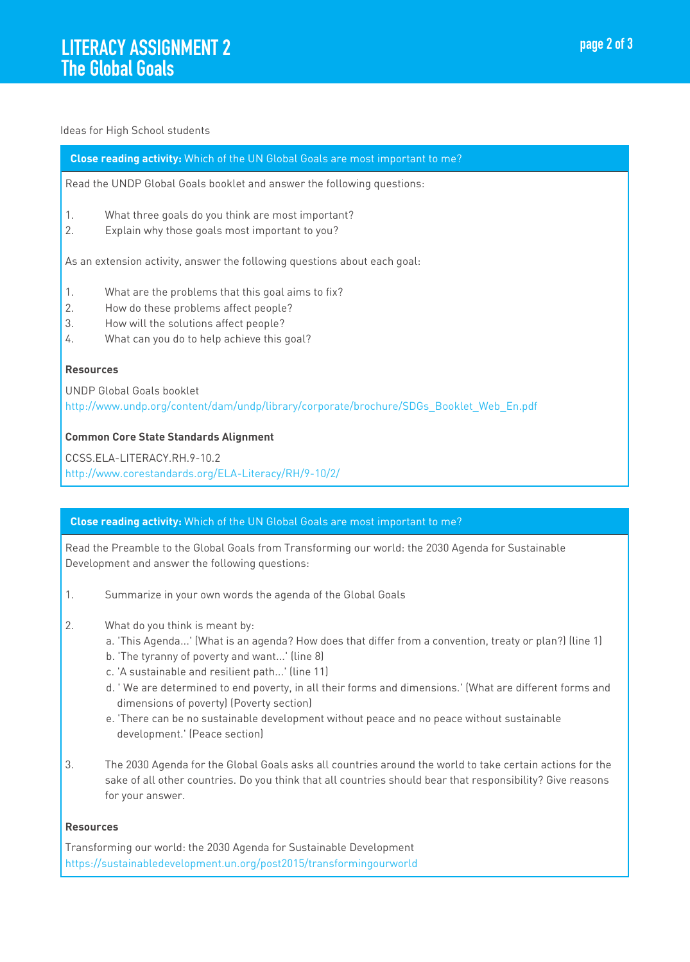#### Ideas for High School students

#### **Close reading activity:** Which of the UN Global Goals are most important to me?

Read the UNDP Global Goals booklet and answer the following questions:

- 1. What three goals do you think are most important?
- 2. Explain why those goals most important to you?

As an extension activity, answer the following questions about each goal:

- 1. What are the problems that this goal aims to fix?
- 2. How do these problems affect people?
- 3. How will the solutions affect people?
- 4. What can you do to help achieve this goal?

#### **Resources**

UNDP Global Goals booklet http://www.undp.org/content/dam/undp/library/corporate/brochure/SDGs\_Booklet\_Web\_En.pdf

#### **Common Core State Standards Alignment**

CCSS.ELA-LITERACY.RH.9-10.2 http://www.corestandards.org/ELA-Literacy/RH/9-10/2/

#### **Close reading activity:** Which of the UN Global Goals are most important to me?

Read the Preamble to the Global Goals from Transforming our world: the 2030 Agenda for Sustainable Development and answer the following questions:

- 1. Summarize in your own words the agenda of the Global Goals
- 2. What do you think is meant by:
	- a. 'This Agenda...' (What is an agenda? How does that differ from a convention, treaty or plan?) (line 1)
	- b. 'The tyranny of poverty and want...' (line 8)
	- c. 'A sustainable and resilient path...' (line 11)
	- d. ' We are determined to end poverty, in all their forms and dimensions.' (What are different forms and dimensions of poverty) (Poverty section)
	- e. 'There can be no sustainable development without peace and no peace without sustainable development.' (Peace section)
- 3. The 2030 Agenda for the Global Goals asks all countries around the world to take certain actions for the sake of all other countries. Do you think that all countries should bear that responsibility? Give reasons for your answer.

#### **Resources**

Transforming our world: the 2030 Agenda for Sustainable Development https://sustainabledevelopment.un.org/post2015/transformingourworld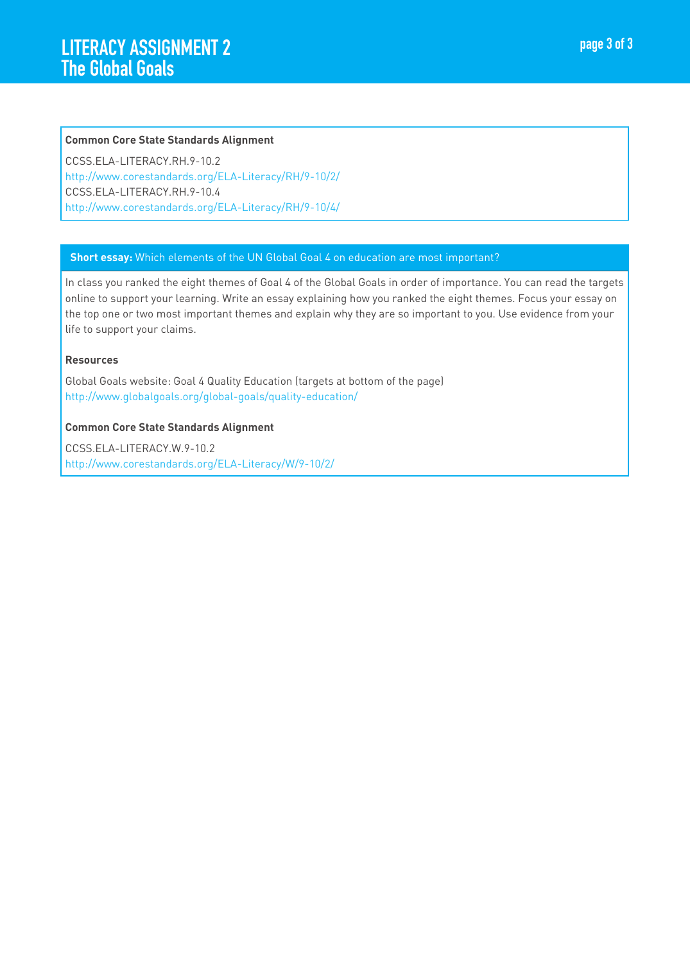#### **Common Core State Standards Alignment**

CCSS.ELA-LITERACY.RH.9-10.2 http://www.corestandards.org/ELA-Literacy/RH/9-10/2/ CCSS.ELA-LITERACY.RH.9-10.4 http://www.corestandards.org/ELA-Literacy/RH/9-10/4/

#### **Short essay:** Which elements of the UN Global Goal 4 on education are most important?

In class you ranked the eight themes of Goal 4 of the Global Goals in order of importance. You can read the targets online to support your learning. Write an essay explaining how you ranked the eight themes. Focus your essay on the top one or two most important themes and explain why they are so important to you. Use evidence from your life to support your claims.

#### **Resources**

Global Goals website: Goal 4 Quality Education (targets at bottom of the page) http://www.globalgoals.org/global-goals/quality-education/

#### **Common Core State Standards Alignment**

CCSS.ELA-LITERACY.W.9-10.2 http://www.corestandards.org/ELA-Literacy/W/9-10/2/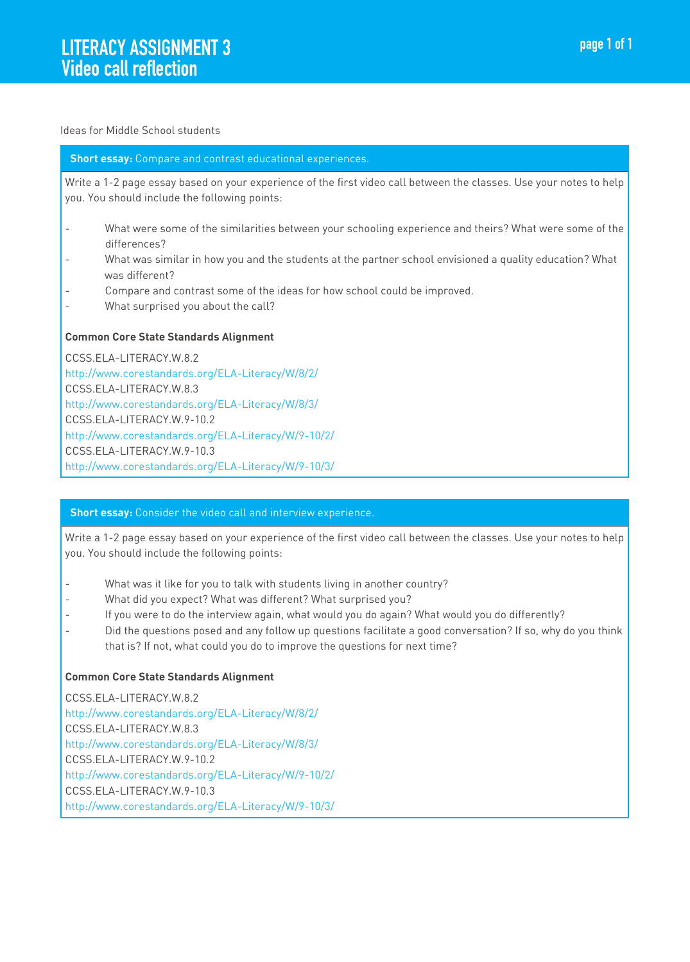#### Ideas for Middle School students

#### **Short essay:** Compare and contrast educational experiences.

Write a 1-2 page essay based on your experience of the first video call between the classes. Use your notes to help you. You should include the following points:

- What were some of the similarities between your schooling experience and theirs? What were some of the differences?
- What was similar in how you and the students at the partner school envisioned a quality education? What was different?
- Compare and contrast some of the ideas for how school could be improved.
- What surprised you about the call?

## **Common Core State Standards Alignment**

CCSS.ELA-LITERACY.W.8.2 http://www.corestandards.org/ELA-Literacy/W/8/2/ CCSS.ELA-LITERACY.W.8.3 http://www.corestandards.org/ELA-Literacy/W/8/3/ CCSS.ELA-LITERACY.W.9-10.2 http://www.corestandards.org/ELA-Literacy/W/9-10/2/ CCSS.ELA-LITERACY.W.9-10.3 http://www.corestandards.org/ELA-Literacy/W/9-10/3/

#### **Short essay:** Consider the video call and interview experience.

Write a 1-2 page essay based on your experience of the first video call between the classes. Use your notes to help you. You should include the following points:

- What was it like for you to talk with students living in another country?
- What did you expect? What was different? What surprised you?
- If you were to do the interview again, what would you do again? What would you do differently?
- Did the questions posed and any follow up questions facilitate a good conversation? If so, why do you think that is? If not, what could you do to improve the questions for next time?

# **Common Core State Standards Alignment**

CCSS.ELA-LITERACY.W.8.2 http://www.corestandards.org/ELA-Literacy/W/8/2/ CCSS.ELA-LITERACY.W.8.3 http://www.corestandards.org/ELA-Literacy/W/8/3/ CCSS.ELA-LITERACY.W.9-10.2 http://www.corestandards.org/ELA-Literacy/W/9-10/2/ CCSS.ELA-LITERACY.W.9-10.3 http://www.corestandards.org/ELA-Literacy/W/9-10/3/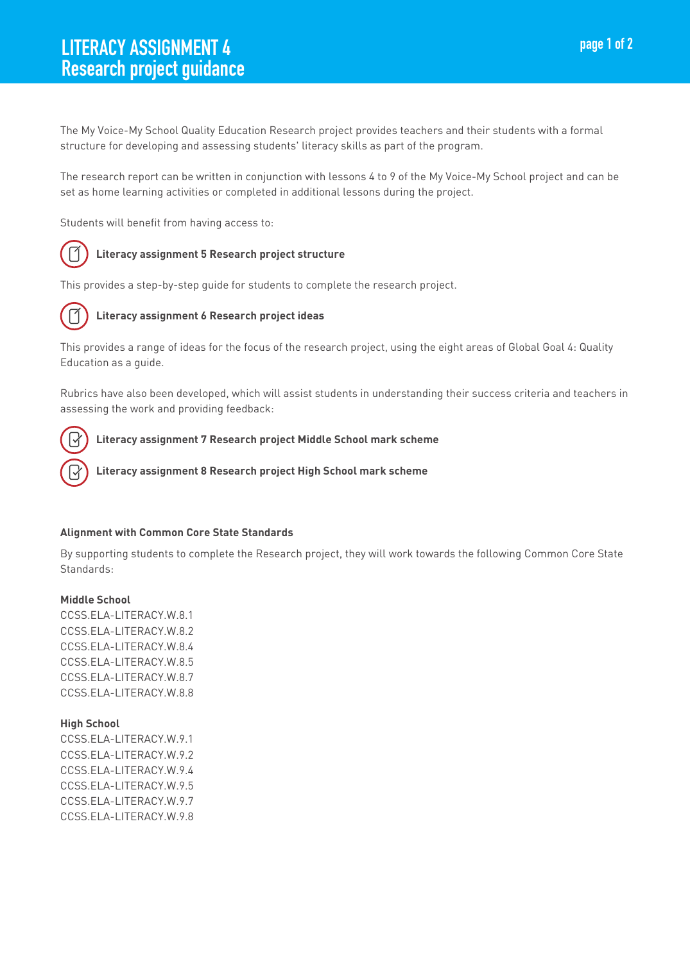The My Voice-My School Quality Education Research project provides teachers and their students with a formal structure for developing and assessing students' literacy skills as part of the program.

The research report can be written in conjunction with lessons 4 to 9 of the My Voice-My School project and can be set as home learning activities or completed in additional lessons during the project.

Students will benefit from having access to:



# **Literacy assignment 5 Research project structure**

This provides a step-by-step guide for students to complete the research project.



# **Literacy assignment 6 Research project ideas**

This provides a range of ideas for the focus of the research project, using the eight areas of Global Goal 4: Quality Education as a guide.

Rubrics have also been developed, which will assist students in understanding their success criteria and teachers in assessing the work and providing feedback:



# **Literacy assignment 7 Research project Middle School mark scheme**

 **Literacy assignment 8 Research project High School mark scheme**

#### **Alignment with Common Core State Standards**

By supporting students to complete the Research project, they will work towards the following Common Core State Standards:

#### **Middle School**

CCSS.ELA-LITERACY.W.8.1 CCSS.ELA-LITERACY.W.8.2 CCSS.ELA-LITERACY.W.8.4 CCSS.ELA-LITERACY.W.8.5 CCSS.ELA-LITERACY.W.8.7 CCSS.ELA-LITERACY.W.8.8

#### **High School**

CCSS.ELA-LITERACY.W.9.1 CCSS.ELA-LITERACY.W.9.2 CCSS.ELA-LITERACY.W.9.4 CCSS.ELA-LITERACY.W.9.5 CCSS.ELA-LITERACY.W.9.7 CCSS.ELA-LITERACY.W.9.8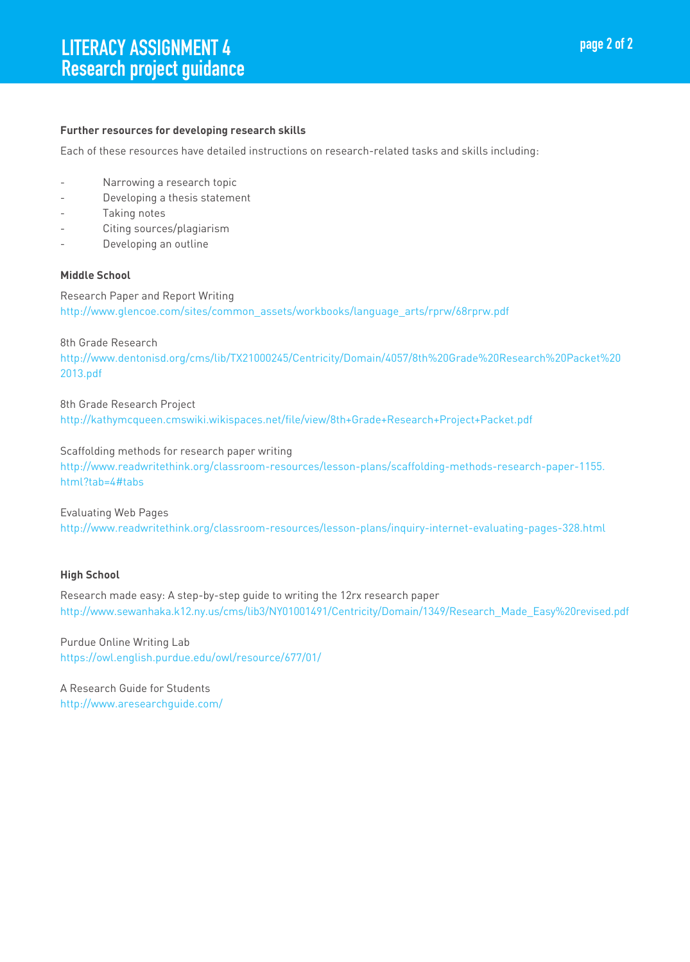#### **Further resources for developing research skills**

Each of these resources have detailed instructions on research-related tasks and skills including:

- Narrowing a research topic
- Developing a thesis statement
- Taking notes
- Citing sources/plagiarism
- Developing an outline

#### **Middle School**

Research Paper and Report Writing http://www.glencoe.com/sites/common\_assets/workbooks/language\_arts/rprw/68rprw.pdf

8th Grade Research

http://www.dentonisd.org/cms/lib/TX21000245/Centricity/Domain/4057/8th%20Grade%20Research%20Packet%20 2013.pdf

8th Grade Research Project http://kathymcqueen.cmswiki.wikispaces.net/file/view/8th+Grade+Research+Project+Packet.pdf

Scaffolding methods for research paper writing

http://www.readwritethink.org/classroom-resources/lesson-plans/scaffolding-methods-research-paper-1155. html?tab=4#tabs

Evaluating Web Pages http://www.readwritethink.org/classroom-resources/lesson-plans/inquiry-internet-evaluating-pages-328.html

# **High School**

Research made easy: A step-by-step guide to writing the 12rx research paper http://www.sewanhaka.k12.ny.us/cms/lib3/NY01001491/Centricity/Domain/1349/Research\_Made\_Easy%20revised.pdf

Purdue Online Writing Lab https://owl.english.purdue.edu/owl/resource/677/01/

A Research Guide for Students http://www.aresearchguide.com/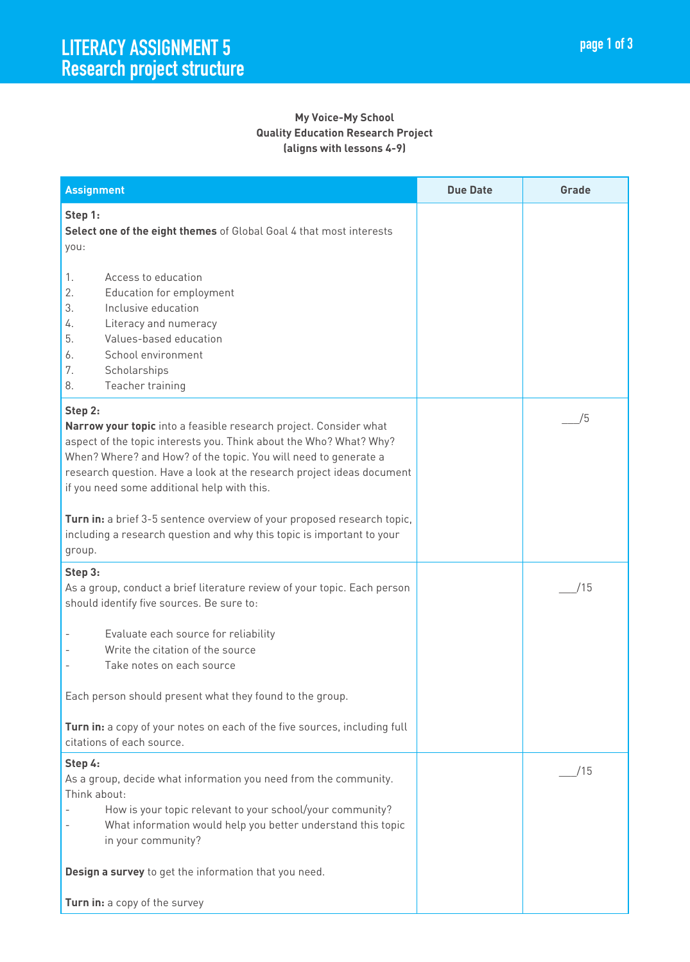| <b>Assignment</b>                                                                                                                                                                                                                                                                                                                                                                                                                                                                                 | <b>Due Date</b> | Grade |
|---------------------------------------------------------------------------------------------------------------------------------------------------------------------------------------------------------------------------------------------------------------------------------------------------------------------------------------------------------------------------------------------------------------------------------------------------------------------------------------------------|-----------------|-------|
| Step 1:<br>Select one of the eight themes of Global Goal 4 that most interests<br>you:                                                                                                                                                                                                                                                                                                                                                                                                            |                 |       |
| 1.<br>Access to education<br>2.<br>Education for employment<br>3.<br>Inclusive education<br>Literacy and numeracy<br>4.<br>5.<br>Values-based education<br>School environment<br>6.<br>7.<br>Scholarships<br>8.<br>Teacher training                                                                                                                                                                                                                                                               |                 |       |
| Step 2:<br>Narrow your topic into a feasible research project. Consider what<br>aspect of the topic interests you. Think about the Who? What? Why?<br>When? Where? and How? of the topic. You will need to generate a<br>research question. Have a look at the research project ideas document<br>if you need some additional help with this.<br>Turn in: a brief 3-5 sentence overview of your proposed research topic,<br>including a research question and why this topic is important to your |                 | /5    |
| group.                                                                                                                                                                                                                                                                                                                                                                                                                                                                                            |                 |       |
| Step 3:<br>As a group, conduct a brief literature review of your topic. Each person<br>should identify five sources. Be sure to:<br>Evaluate each source for reliability<br>Write the citation of the source                                                                                                                                                                                                                                                                                      |                 | /15   |
| Take notes on each source                                                                                                                                                                                                                                                                                                                                                                                                                                                                         |                 |       |
| Each person should present what they found to the group.                                                                                                                                                                                                                                                                                                                                                                                                                                          |                 |       |
| Turn in: a copy of your notes on each of the five sources, including full<br>citations of each source.                                                                                                                                                                                                                                                                                                                                                                                            |                 |       |
| Step 4:<br>As a group, decide what information you need from the community.<br>Think about:<br>How is your topic relevant to your school/your community?<br>What information would help you better understand this topic<br>in your community?                                                                                                                                                                                                                                                    |                 | /15   |
| Design a survey to get the information that you need.                                                                                                                                                                                                                                                                                                                                                                                                                                             |                 |       |
| Turn in: a copy of the survey                                                                                                                                                                                                                                                                                                                                                                                                                                                                     |                 |       |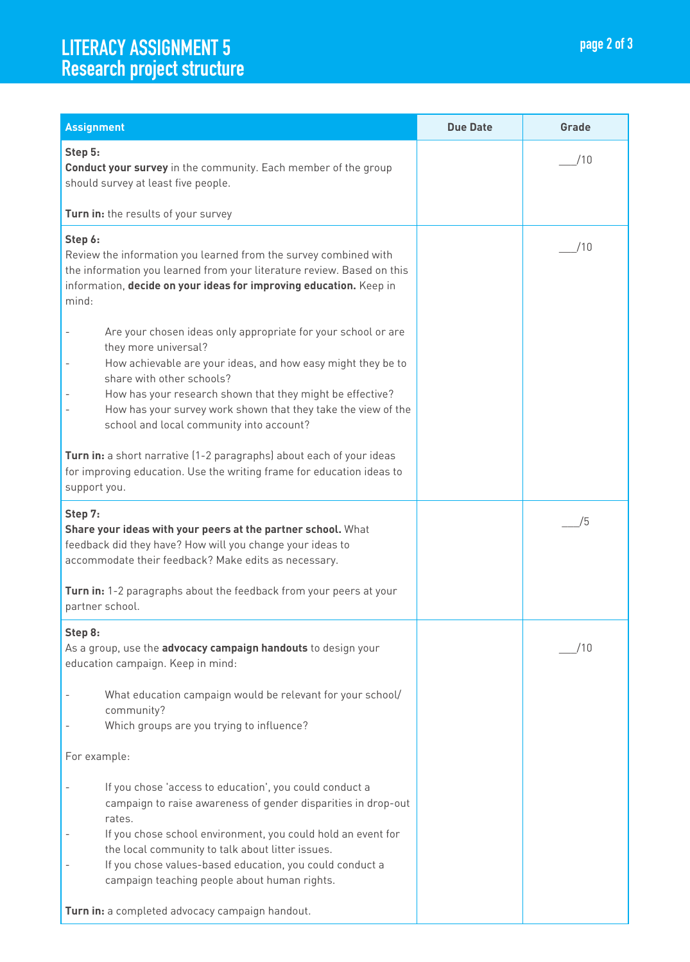# LITERACY ASSIGNMENT 5 Research project structure page 2 of 3 Research project structure page 2 of 3

| <b>Assignment</b>                                                                                                                                                                                                                                                                                                                                                                        | <b>Due Date</b> | Grade |
|------------------------------------------------------------------------------------------------------------------------------------------------------------------------------------------------------------------------------------------------------------------------------------------------------------------------------------------------------------------------------------------|-----------------|-------|
| Step 5:<br>Conduct your survey in the community. Each member of the group<br>should survey at least five people.                                                                                                                                                                                                                                                                         |                 | /10   |
| Turn in: the results of your survey                                                                                                                                                                                                                                                                                                                                                      |                 |       |
| Step 6:<br>Review the information you learned from the survey combined with<br>the information you learned from your literature review. Based on this<br>information, decide on your ideas for improving education. Keep in<br>mind:                                                                                                                                                     |                 | /10   |
| Are your chosen ideas only appropriate for your school or are<br>$\overline{\phantom{m}}$<br>they more universal?<br>How achievable are your ideas, and how easy might they be to<br>share with other schools?<br>How has your research shown that they might be effective?<br>How has your survey work shown that they take the view of the<br>school and local community into account? |                 |       |
| Turn in: a short narrative (1-2 paragraphs) about each of your ideas<br>for improving education. Use the writing frame for education ideas to<br>support you.                                                                                                                                                                                                                            |                 |       |
| Step 7:<br>Share your ideas with your peers at the partner school. What<br>feedback did they have? How will you change your ideas to<br>accommodate their feedback? Make edits as necessary.                                                                                                                                                                                             |                 | /5    |
| Turn in: 1-2 paragraphs about the feedback from your peers at your<br>partner school.                                                                                                                                                                                                                                                                                                    |                 |       |
| Step 8:<br>As a group, use the advocacy campaign handouts to design your<br>education campaign. Keep in mind:                                                                                                                                                                                                                                                                            |                 | /10   |
| What education campaign would be relevant for your school/<br>community?<br>Which groups are you trying to influence?                                                                                                                                                                                                                                                                    |                 |       |
| For example:                                                                                                                                                                                                                                                                                                                                                                             |                 |       |
| If you chose 'access to education', you could conduct a<br>campaign to raise awareness of gender disparities in drop-out<br>rates.<br>If you chose school environment, you could hold an event for<br>the local community to talk about litter issues.                                                                                                                                   |                 |       |
| If you chose values-based education, you could conduct a<br>campaign teaching people about human rights.                                                                                                                                                                                                                                                                                 |                 |       |
| Turn in: a completed advocacy campaign handout.                                                                                                                                                                                                                                                                                                                                          |                 |       |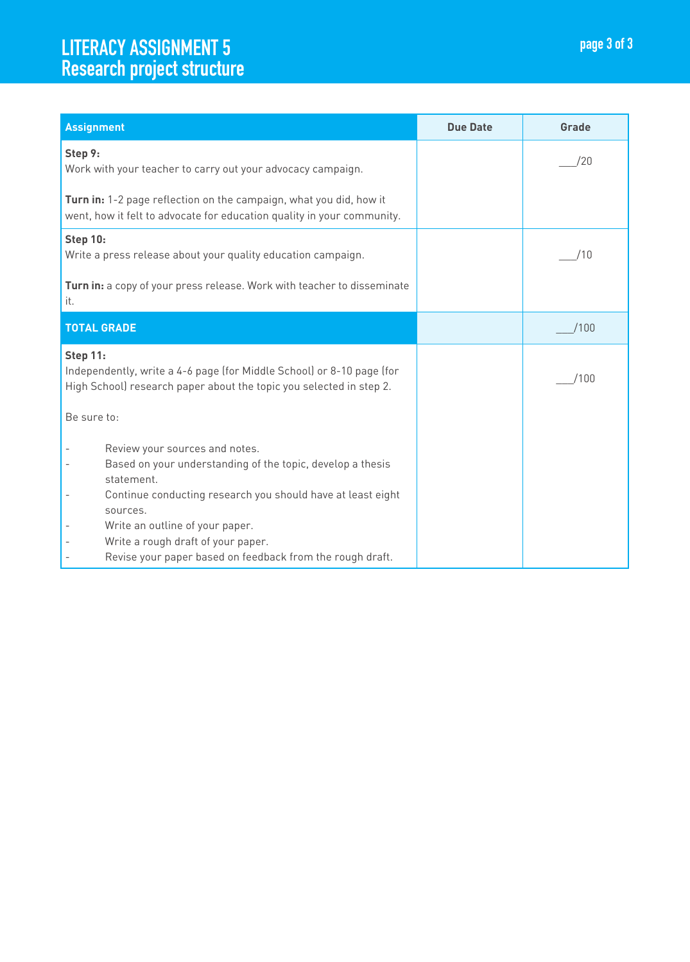# LITERACY ASSIGNMENT 5 Research project structure page 3 of 3

| <b>Assignment</b>                                                                                                                                                                                                                                                                                                                                                                                     | <b>Due Date</b> | Grade |
|-------------------------------------------------------------------------------------------------------------------------------------------------------------------------------------------------------------------------------------------------------------------------------------------------------------------------------------------------------------------------------------------------------|-----------------|-------|
| Step 9:<br>Work with your teacher to carry out your advocacy campaign.                                                                                                                                                                                                                                                                                                                                |                 | /20   |
| Turn in: 1-2 page reflection on the campaign, what you did, how it<br>went, how it felt to advocate for education quality in your community.                                                                                                                                                                                                                                                          |                 |       |
| Step 10:<br>Write a press release about your quality education campaign.                                                                                                                                                                                                                                                                                                                              |                 | /10   |
| Turn in: a copy of your press release. Work with teacher to disseminate<br>it.                                                                                                                                                                                                                                                                                                                        |                 |       |
| <b>TOTAL GRADE</b>                                                                                                                                                                                                                                                                                                                                                                                    |                 | /100  |
| Step 11:<br>Independently, write a 4-6 page (for Middle School) or 8-10 page (for<br>High School) research paper about the topic you selected in step 2.                                                                                                                                                                                                                                              |                 | /100  |
| Be sure to:                                                                                                                                                                                                                                                                                                                                                                                           |                 |       |
| Review your sources and notes.<br>Based on your understanding of the topic, develop a thesis<br>$\overline{a}$<br>statement.<br>Continue conducting research you should have at least eight<br>$\overline{\phantom{a}}$<br>sources.<br>Write an outline of your paper.<br>Write a rough draft of your paper.<br>$\overline{\phantom{a}}$<br>Revise your paper based on feedback from the rough draft. |                 |       |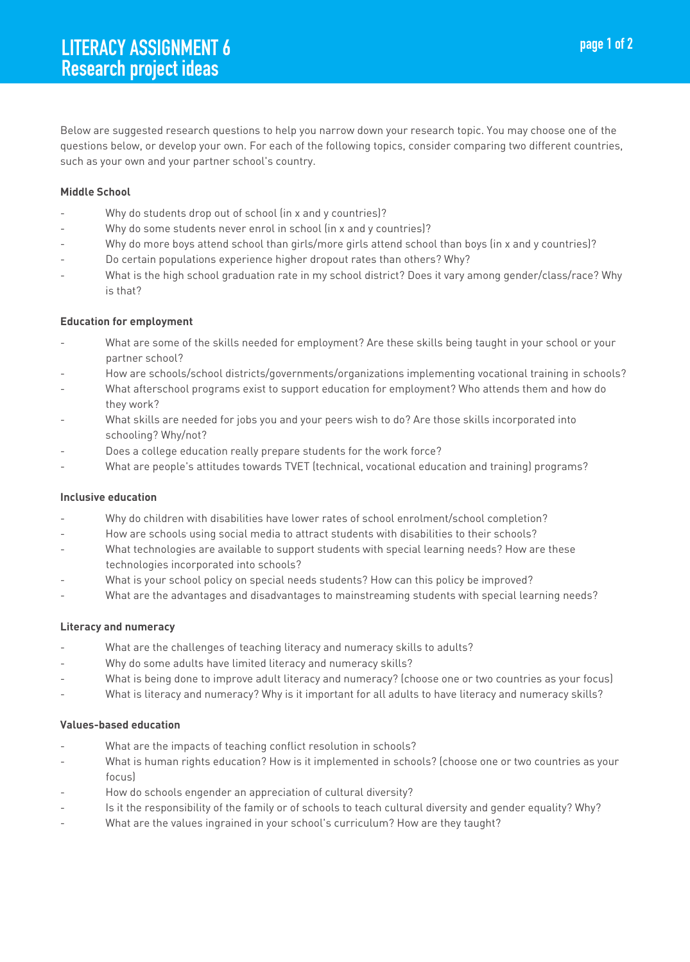Below are suggested research questions to help you narrow down your research topic. You may choose one of the questions below, or develop your own. For each of the following topics, consider comparing two different countries, such as your own and your partner school's country.

## **Middle School**

- Why do students drop out of school (in x and y countries)?
- Why do some students never enrol in school (in x and y countries)?
- Why do more boys attend school than girls/more girls attend school than boys (in x and y countries)?
- Do certain populations experience higher dropout rates than others? Why?
- What is the high school graduation rate in my school district? Does it vary among gender/class/race? Why is that?

## **Education for employment**

- What are some of the skills needed for employment? Are these skills being taught in your school or your partner school?
- How are schools/school districts/governments/organizations implementing vocational training in schools?
- What afterschool programs exist to support education for employment? Who attends them and how do they work?
- What skills are needed for jobs you and your peers wish to do? Are those skills incorporated into schooling? Why/not?
- Does a college education really prepare students for the work force?
- What are people's attitudes towards TVET (technical, vocational education and training) programs?

#### **Inclusive education**

- Why do children with disabilities have lower rates of school enrolment/school completion?
- How are schools using social media to attract students with disabilities to their schools?
- What technologies are available to support students with special learning needs? How are these technologies incorporated into schools?
- What is your school policy on special needs students? How can this policy be improved?
- What are the advantages and disadvantages to mainstreaming students with special learning needs?

#### **Literacy and numeracy**

- What are the challenges of teaching literacy and numeracy skills to adults?
- Why do some adults have limited literacy and numeracy skills?
- What is being done to improve adult literacy and numeracy? (choose one or two countries as your focus)
- What is literacy and numeracy? Why is it important for all adults to have literacy and numeracy skills?

#### **Values-based education**

- What are the impacts of teaching conflict resolution in schools?
- What is human rights education? How is it implemented in schools? (choose one or two countries as your focus)
- How do schools engender an appreciation of cultural diversity?
- Is it the responsibility of the family or of schools to teach cultural diversity and gender equality? Why?
- What are the values ingrained in your school's curriculum? How are they taught?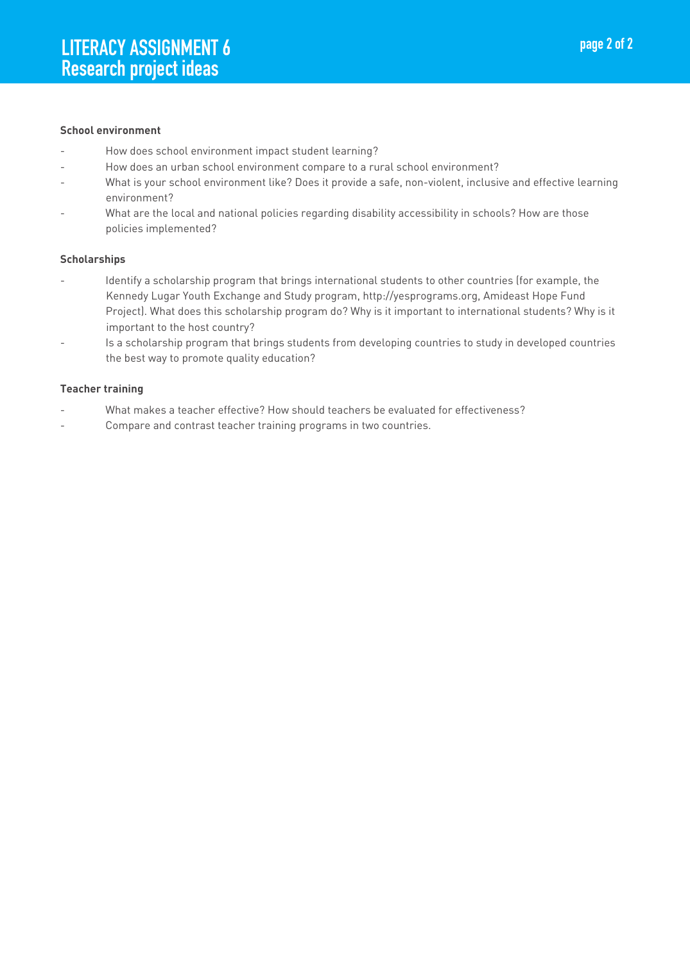#### **School environment**

- How does school environment impact student learning?
- How does an urban school environment compare to a rural school environment?
- What is your school environment like? Does it provide a safe, non-violent, inclusive and effective learning environment?
- What are the local and national policies regarding disability accessibility in schools? How are those policies implemented?

#### **Scholarships**

- Identify a scholarship program that brings international students to other countries (for example, the Kennedy Lugar Youth Exchange and Study program, http://yesprograms.org, Amideast Hope Fund Project). What does this scholarship program do? Why is it important to international students? Why is it important to the host country?
- Is a scholarship program that brings students from developing countries to study in developed countries the best way to promote quality education?

#### **Teacher training**

- What makes a teacher effective? How should teachers be evaluated for effectiveness?
- Compare and contrast teacher training programs in two countries.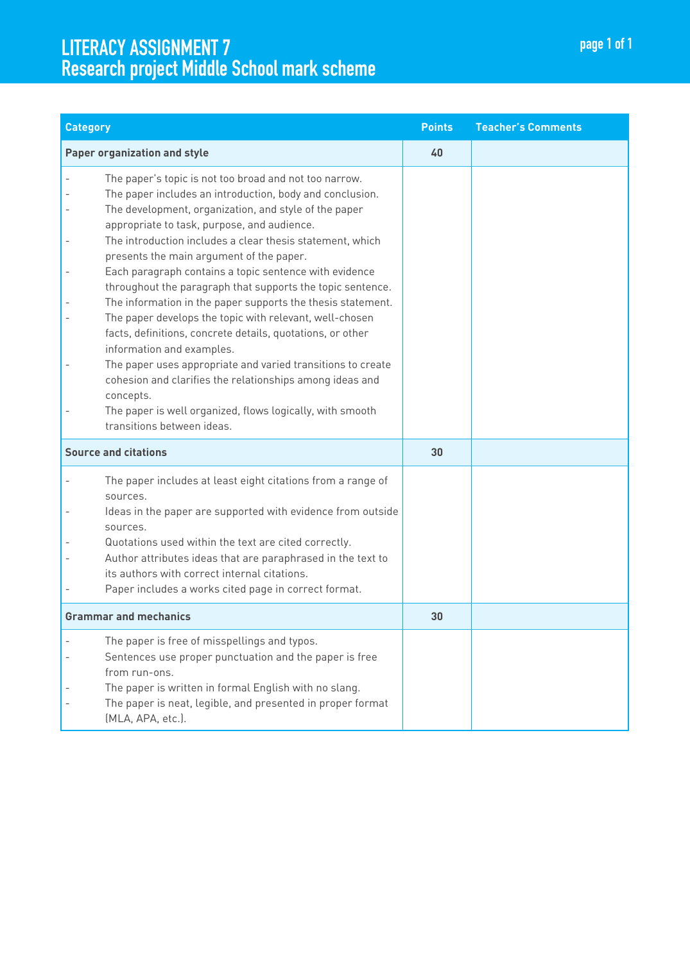# LITERACY ASSIGNMENT 7<br>
Research project Middle School mark scheme page 1 of 1

| <b>Category</b>                                                                                                                                                                                                                                                                                                                                                                                                                                                                                                                                                                                                                                                                                                                                                                                                                                                                                                     | <b>Points</b> | <b>Teacher's Comments</b> |
|---------------------------------------------------------------------------------------------------------------------------------------------------------------------------------------------------------------------------------------------------------------------------------------------------------------------------------------------------------------------------------------------------------------------------------------------------------------------------------------------------------------------------------------------------------------------------------------------------------------------------------------------------------------------------------------------------------------------------------------------------------------------------------------------------------------------------------------------------------------------------------------------------------------------|---------------|---------------------------|
| <b>Paper organization and style</b>                                                                                                                                                                                                                                                                                                                                                                                                                                                                                                                                                                                                                                                                                                                                                                                                                                                                                 | 40            |                           |
| The paper's topic is not too broad and not too narrow.<br>The paper includes an introduction, body and conclusion.<br>The development, organization, and style of the paper<br>appropriate to task, purpose, and audience.<br>The introduction includes a clear thesis statement, which<br>presents the main argument of the paper.<br>Each paragraph contains a topic sentence with evidence<br>throughout the paragraph that supports the topic sentence.<br>The information in the paper supports the thesis statement.<br>The paper develops the topic with relevant, well-chosen<br>facts, definitions, concrete details, quotations, or other<br>information and examples.<br>The paper uses appropriate and varied transitions to create<br>cohesion and clarifies the relationships among ideas and<br>concepts.<br>The paper is well organized, flows logically, with smooth<br>transitions between ideas. |               |                           |
| <b>Source and citations</b>                                                                                                                                                                                                                                                                                                                                                                                                                                                                                                                                                                                                                                                                                                                                                                                                                                                                                         | 30            |                           |
| The paper includes at least eight citations from a range of<br>sources.<br>Ideas in the paper are supported with evidence from outside<br>sources.<br>Quotations used within the text are cited correctly.<br>Author attributes ideas that are paraphrased in the text to<br>its authors with correct internal citations.<br>Paper includes a works cited page in correct format.                                                                                                                                                                                                                                                                                                                                                                                                                                                                                                                                   |               |                           |
| <b>Grammar and mechanics</b>                                                                                                                                                                                                                                                                                                                                                                                                                                                                                                                                                                                                                                                                                                                                                                                                                                                                                        | 30            |                           |
| The paper is free of misspellings and typos.<br>Sentences use proper punctuation and the paper is free<br>from run-ons.<br>The paper is written in formal English with no slang.<br>The paper is neat, legible, and presented in proper format<br>(MLA, APA, etc.).                                                                                                                                                                                                                                                                                                                                                                                                                                                                                                                                                                                                                                                 |               |                           |